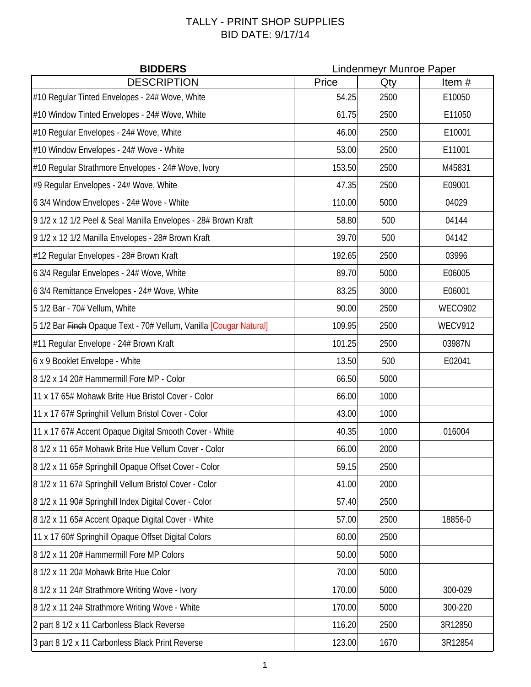## TALLY - PRINT SHOP SUPPLIES BID DATE: 9/17/14

|                                                                    | <b>BIDDERS</b><br><b>Lindenmeyr Munroe Paper</b> |      |                |
|--------------------------------------------------------------------|--------------------------------------------------|------|----------------|
| <b>DESCRIPTION</b>                                                 | Price                                            | Qty  | Item#          |
| #10 Regular Tinted Envelopes - 24# Wove, White                     | 54.25                                            | 2500 | E10050         |
| #10 Window Tinted Envelopes - 24# Wove, White                      | 61.75                                            | 2500 | E11050         |
| #10 Regular Envelopes - 24# Wove, White                            | 46.00                                            | 2500 | E10001         |
| #10 Window Envelopes - 24# Wove - White                            | 53.00                                            | 2500 | E11001         |
| #10 Regular Strathmore Envelopes - 24# Wove, Ivory                 | 153.50                                           | 2500 | M45831         |
| #9 Regular Envelopes - 24# Wove, White                             | 47.35                                            | 2500 | E09001         |
| 6 3/4 Window Envelopes - 24# Wove - White                          | 110.00                                           | 5000 | 04029          |
| 9 1/2 x 12 1/2 Peel & Seal Manilla Envelopes - 28# Brown Kraft     | 58.80                                            | 500  | 04144          |
| 9 1/2 x 12 1/2 Manilla Envelopes - 28# Brown Kraft                 | 39.70                                            | 500  | 04142          |
| #12 Regular Envelopes - 28# Brown Kraft                            | 192.65                                           | 2500 | 03996          |
| 6 3/4 Regular Envelopes - 24# Wove, White                          | 89.70                                            | 5000 | E06005         |
| 6 3/4 Remittance Envelopes - 24# Wove, White                       | 83.25                                            | 3000 | E06001         |
| 5 1/2 Bar - 70# Vellum, White                                      | 90.00                                            | 2500 | <b>WECO902</b> |
| 5 1/2 Bar Finch Opaque Text - 70# Vellum, Vanilla [Cougar Natural] | 109.95                                           | 2500 | <b>WECV912</b> |
| #11 Regular Envelope - 24# Brown Kraft                             | 101.25                                           | 2500 | 03987N         |
| 6 x 9 Booklet Envelope - White                                     | 13.50                                            | 500  | E02041         |
| 8 1/2 x 14 20# Hammermill Fore MP - Color                          | 66.50                                            | 5000 |                |
| 11 x 17 65# Mohawk Brite Hue Bristol Cover - Color                 | 66.00                                            | 1000 |                |
| 11 x 17 67# Springhill Vellum Bristol Cover - Color                | 43.00                                            | 1000 |                |
| 11 x 17 67# Accent Opaque Digital Smooth Cover - White             | 40.35                                            | 1000 | 016004         |
| 8 1/2 x 11 65# Mohawk Brite Hue Vellum Cover - Color               | 66.00                                            | 2000 |                |
| 8 1/2 x 11 65# Springhill Opaque Offset Cover - Color              | 59.15                                            | 2500 |                |
| 8 1/2 x 11 67# Springhill Vellum Bristol Cover - Color             | 41.00                                            | 2000 |                |
| 8 1/2 x 11 90# Springhill Index Digital Cover - Color              | 57.40                                            | 2500 |                |
| 8 1/2 x 11 65# Accent Opaque Digital Cover - White                 | 57.00                                            | 2500 | 18856-0        |
| 11 x 17 60# Springhill Opaque Offset Digital Colors                | 60.00                                            | 2500 |                |
| 8 1/2 x 11 20# Hammermill Fore MP Colors                           | 50.00                                            | 5000 |                |
| 8 1/2 x 11 20# Mohawk Brite Hue Color                              | 70.00                                            | 5000 |                |
| 8 1/2 x 11 24# Strathmore Writing Wove - Ivory                     | 170.00                                           | 5000 | 300-029        |
| 8 1/2 x 11 24# Strathmore Writing Wove - White                     | 170.00                                           | 5000 | 300-220        |
| 2 part 8 1/2 x 11 Carbonless Black Reverse                         | 116.20                                           | 2500 | 3R12850        |
| 3 part 8 1/2 x 11 Carbonless Black Print Reverse                   | 123.00                                           | 1670 | 3R12854        |